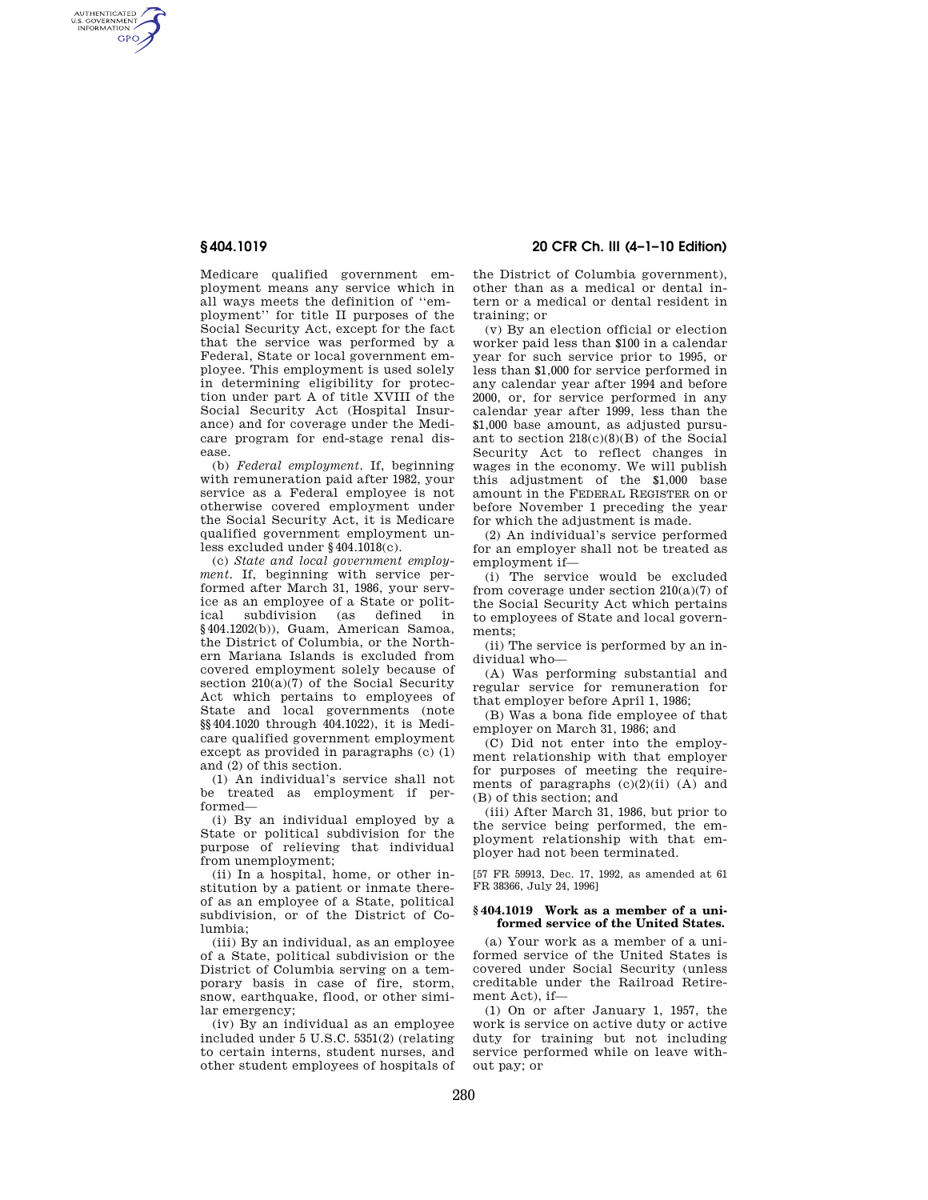AUTHENTICATED<br>U.S. GOVERNMENT<br>INFORMATION GPO

> Medicare qualified government employment means any service which in all ways meets the definition of ''employment'' for title II purposes of the Social Security Act, except for the fact that the service was performed by a Federal, State or local government employee. This employment is used solely in determining eligibility for protection under part A of title XVIII of the Social Security Act (Hospital Insurance) and for coverage under the Medicare program for end-stage renal disease.

> (b) *Federal employment.* If, beginning with remuneration paid after 1982, your service as a Federal employee is not otherwise covered employment under the Social Security Act, it is Medicare qualified government employment unless excluded under §404.1018(c).

> (c) *State and local government employment.* If, beginning with service performed after March 31, 1986, your service as an employee of a State or political subdivision (as defined in §404.1202(b)), Guam, American Samoa, the District of Columbia, or the Northern Mariana Islands is excluded from covered employment solely because of section  $210(a)(7)$  of the Social Security Act which pertains to employees of State and local governments (note §§404.1020 through 404.1022), it is Medicare qualified government employment except as provided in paragraphs (c) (1) and (2) of this section.

(1) An individual's service shall not be treated as employment if performed—

(i) By an individual employed by a State or political subdivision for the purpose of relieving that individual from unemployment;

(ii) In a hospital, home, or other institution by a patient or inmate thereof as an employee of a State, political subdivision, or of the District of Columbia;

(iii) By an individual, as an employee of a State, political subdivision or the District of Columbia serving on a temporary basis in case of fire, storm, snow, earthquake, flood, or other similar emergency;

(iv) By an individual as an employee included under 5 U.S.C. 5351(2) (relating to certain interns, student nurses, and other student employees of hospitals of

**§ 404.1019 20 CFR Ch. III (4–1–10 Edition)** 

the District of Columbia government), other than as a medical or dental intern or a medical or dental resident in training; or

(v) By an election official or election worker paid less than \$100 in a calendar year for such service prior to 1995, or less than \$1,000 for service performed in any calendar year after 1994 and before 2000, or, for service performed in any calendar year after 1999, less than the \$1,000 base amount, as adjusted pursuant to section 218(c)(8)(B) of the Social Security Act to reflect changes in wages in the economy. We will publish this adjustment of the \$1,000 base amount in the FEDERAL REGISTER on or before November 1 preceding the year for which the adjustment is made.

(2) An individual's service performed for an employer shall not be treated as employment if—

(i) The service would be excluded from coverage under section  $210(a)(7)$  of the Social Security Act which pertains to employees of State and local governments;

(ii) The service is performed by an individual who—

(A) Was performing substantial and regular service for remuneration for that employer before April 1, 1986;

(B) Was a bona fide employee of that employer on March 31, 1986; and

(C) Did not enter into the employment relationship with that employer for purposes of meeting the requirements of paragraphs  $(c)(2)(ii)$  (A) and (B) of this section; and

(iii) After March 31, 1986, but prior to the service being performed, the employment relationship with that employer had not been terminated.

[57 FR 59913, Dec. 17, 1992, as amended at 61 FR 38366, July 24, 1996]

## **§ 404.1019 Work as a member of a uniformed service of the United States.**

(a) Your work as a member of a uniformed service of the United States is covered under Social Security (unless creditable under the Railroad Retirement Act), if—

(1) On or after January 1, 1957, the work is service on active duty or active duty for training but not including service performed while on leave without pay; or